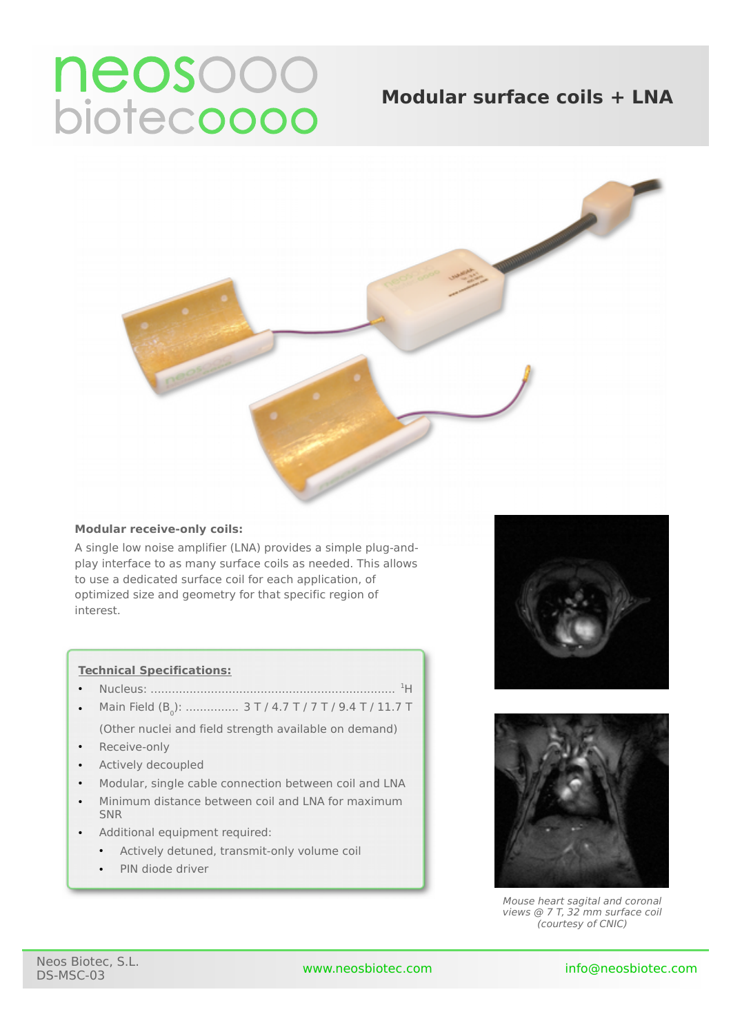# neosooo<br>biotecoooo

# **Modular surface coils + LNA**



# **Modular receive-only coils:**

A single low noise amplifier (LNA) provides a simple plug-andplay interface to as many surface coils as needed. This allows to use a dedicated surface coil for each application, of optimized size and geometry for that specific region of interest.

# **Technical Specifications:**

- Nucleus: ..................................................................... <sup>1</sup>H
- Main Field (B<sub>0</sub>): …………… 3 T / 4.7 T / 7 T / 9.4 T / 11.7 T (Other nuclei and field strength available on demand)
- Receive-only
- Actively decoupled
- Modular, single cable connection between coil and LNA
- Minimum distance between coil and LNA for maximum SNR
- Additional equipment required:
	- Actively detuned, transmit-only volume coil
	- PIN diode driver





Mouse heart sagital and coronal views @ 7 T, 32 mm surface coil (courtesy of CNIC)